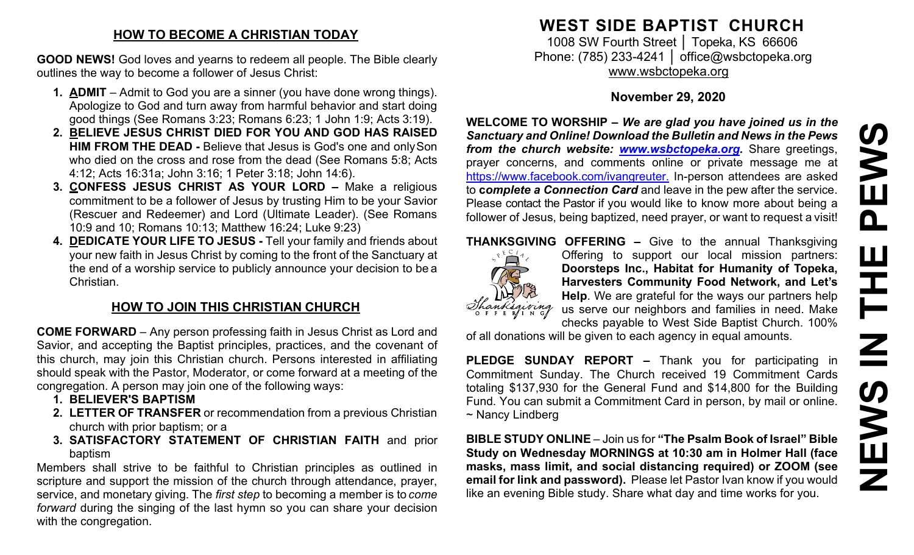#### **HOW TO BECOME A CHRISTIAN TODAY**

**GOOD NEWS!** God loves and yearns to redeem all people. The Bible clearly outlines the way to become a follower of Jesus Christ:

- **1. ADMIT**  Admit to God you are a sinner (you have done wrong things). Apologize to God and turn away from harmful behavior and start doing good things (See Romans 3:23; Romans 6:23; 1 John 1:9; Acts 3:19).
- **2. BELIEVE JESUS CHRIST DIED FOR YOU AND GOD HAS RAISED HIM FROM THE DEAD -** Believe that Jesus is God's one and onlySon who died on the cross and rose from the dead (See Romans 5:8; Acts 4:12; Acts 16:31a; John 3:16; 1 Peter 3:18; John 14:6).
- **3. CONFESS JESUS CHRIST AS YOUR LORD –** Make a religious commitment to be a follower of Jesus by trusting Him to be your Savior (Rescuer and Redeemer) and Lord (Ultimate Leader). (See Romans 10:9 and 10; Romans 10:13; Matthew 16:24; Luke 9:23)
- **4. DEDICATE YOUR LIFE TO JESUS -** Tell your family and friends about your new faith in Jesus Christ by coming to the front of the Sanctuary at the end of a worship service to publicly announce your decision to be a Christian.

## **HOW TO JOIN THIS CHRISTIAN CHURCH**

**COME FORWARD** – Any person professing faith in Jesus Christ as Lord and Savior, and accepting the Baptist principles, practices, and the covenant of this church, may join this Christian church. Persons interested in affiliating should speak with the Pastor, Moderator, or come forward at a meeting of the congregation. A person may join one of the following ways:

- **1. BELIEVER'S BAPTISM**
- **2. LETTER OF TRANSFER** or recommendation from a previous Christian church with prior baptism; or a
- **3. SATISFACTORY STATEMENT OF CHRISTIAN FAITH** and prior baptism

Members shall strive to be faithful to Christian principles as outlined in scripture and support the mission of the church through attendance, prayer, service, and monetary giving. The *first step* to becoming a member is to *come forward* during the singing of the last hymn so you can share your decision with the congregation.

# **WEST SIDE BAPTIST CHURCH**

1008 SW Fourth Street | Topeka, KS 66606 Phone: (785) 233-4241 │ [office@wsbctopeka.org](mailto:office@wsbctopeka.org) [www.wsbctopeka.org](http://www.wsbctopeka.org/)

### **November 29, 2020**

**WELCOME TO WORSHIP –** *We are glad you have joined us in the Sanctuary and Online! Download the Bulletin and News in the Pews from the church website: [www.wsbctopeka.org.](http://www.wsbctopeka.org/)* Share greetings, prayer concerns, and comments online or private message me at <https://www.facebook.com/ivangreuter.> In-person attendees are asked to **c***omplete a Connection Card* and leave in the pew after the service. Please contact the Pastor if you would like to know more about being a follower of Jesus, being baptized, need prayer, or want to request a visit!

**THANKSGIVING OFFERING –** Give to the annual Thanksgiving



Offering to support our local mission partners: **Doorsteps Inc., Habitat for Humanity of Topeka, Harvesters Community Food Network, and Let's Help**. We are grateful for the ways our partners help us serve our neighbors and families in need. Make checks payable to West Side Baptist Church. 100%

of all donations will be given to each agency in equal amounts.

**PLEDGE SUNDAY REPORT –** Thank you for participating in Commitment Sunday. The Church received 19 Commitment Cards totaling \$137,930 for the General Fund and \$14,800 for the Building Fund. You can submit a Commitment Card in person, by mail or online. ~ Nancy Lindberg

**BIBLE STUDY ONLINE** – Join us for **"The Psalm Book of Israel" Bible Study on Wednesday MORNINGS at 10:30 am in Holmer Hall (face masks, mass limit, and social distancing required) or ZOOM (see email for link and password).** Please let Pastor Ivan know if you would like an evening Bible study. Share what day and time works for you.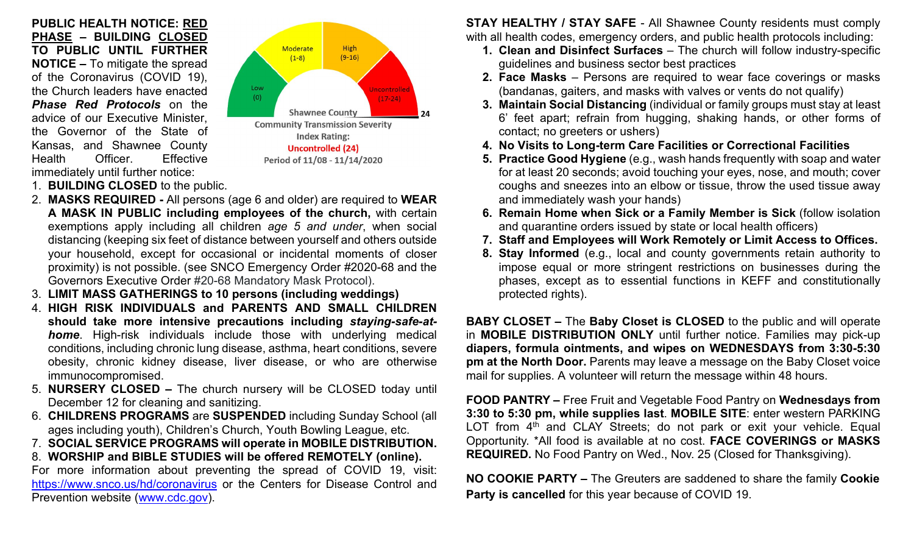**PUBLIC HEALTH NOTICE: RED PHASE – BUILDING CLOSED TO PUBLIC UNTIL FURTHER NOTICE –** To mitigate the spread of the Coronavirus (COVID 19), the Church leaders have enacted *Phase Red Protocols* on the advice of our Executive Minister, the Governor of the State of Kansas, and Shawnee County Health Officer. Effective immediately until further notice:



- 1. **BUILDING CLOSED** to the public.
- 2. **MASKS REQUIRED -** All persons (age 6 and older) are required to **WEAR A MASK IN PUBLIC including employees of the church,** with certain exemptions apply including all children *age 5 and under*, when social distancing (keeping six feet of distance between yourself and others outside your household, except for occasional or incidental moments of closer proximity) is not possible. (see SNCO Emergency Order #2020-68 and the Governors Executive Order #20-68 Mandatory Mask Protocol).
- 3. **LIMIT MASS GATHERINGS to 10 persons (including weddings)**
- 4. **HIGH RISK INDIVIDUALS and PARENTS AND SMALL CHILDREN should take more intensive precautions including** *staying-safe-athome*. High-risk individuals include those with underlying medical conditions, including chronic lung disease, asthma, heart conditions, severe obesity, chronic kidney disease, liver disease, or who are otherwise immunocompromised.
- 5. **NURSERY CLOSED –** The church nursery will be CLOSED today until December 12 for cleaning and sanitizing.
- 6. **CHILDRENS PROGRAMS** are **SUSPENDED** including Sunday School (all ages including youth), Children's Church, Youth Bowling League, etc.
- 7. **SOCIAL SERVICE PROGRAMS will operate in MOBILE DISTRIBUTION.**
- 8. **WORSHIP and BIBLE STUDIES will be offered REMOTELY (online).**

For more information about preventing the spread of COVID 19, visit: <https://www.snco.us/hd/coronavirus> or the Centers for Disease Control and Prevention website [\(www.cdc.gov\)](http://www.cdc.gov/).

**STAY HEALTHY / STAY SAFE** - All Shawnee County residents must comply with all health codes, emergency orders, and public health protocols including:

- **1. Clean and Disinfect Surfaces** The church will follow industry-specific guidelines and business sector best practices
- **2. Face Masks** Persons are required to wear face coverings or masks (bandanas, gaiters, and masks with valves or vents do not qualify)
- **3. Maintain Social Distancing** (individual or family groups must stay at least 6' feet apart; refrain from hugging, shaking hands, or other forms of contact; no greeters or ushers)
- **4. No Visits to Long-term Care Facilities or Correctional Facilities**
- **5. Practice Good Hygiene** (e.g., wash hands frequently with soap and water for at least 20 seconds; avoid touching your eyes, nose, and mouth; cover coughs and sneezes into an elbow or tissue, throw the used tissue away and immediately wash your hands)
- **6. Remain Home when Sick or a Family Member is Sick** (follow isolation and quarantine orders issued by state or local health officers)
- **7. Staff and Employees will Work Remotely or Limit Access to Offices.**
- **8. Stay Informed** (e.g., local and county governments retain authority to impose equal or more stringent restrictions on businesses during the phases, except as to essential functions in KEFF and constitutionally protected rights).

**BABY CLOSET –** The **Baby Closet is CLOSED** to the public and will operate in **MOBILE DISTRIBUTION ONLY** until further notice. Families may pick-up **diapers, formula ointments, and wipes on WEDNESDAYS from 3:30-5:30 pm at the North Door.** Parents may leave a message on the Baby Closet voice mail for supplies. A volunteer will return the message within 48 hours.

**FOOD PANTRY –** Free Fruit and Vegetable Food Pantry on **Wednesdays from 3:30 to 5:30 pm, while supplies last**. **MOBILE SITE**: enter western PARKING LOT from  $4<sup>th</sup>$  and CLAY Streets; do not park or exit your vehicle. Equal Opportunity. \*All food is available at no cost. **FACE COVERINGS or MASKS REQUIRED.** No Food Pantry on Wed., Nov. 25 (Closed for Thanksgiving).

**NO COOKIE PARTY –** The Greuters are saddened to share the family **Cookie Party is cancelled** for this year because of COVID 19.